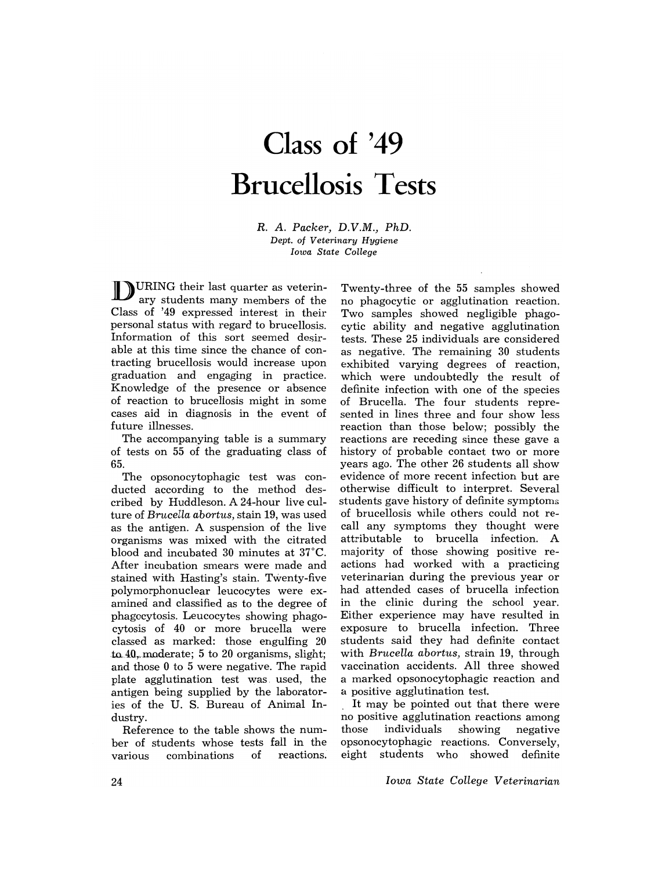## **Class of '49 Brucellosis Tests**

R. A. *Packer, D.V.M., PhD. Dept. of Veterinary Hygiene Iowa State College* 

DURING their last quarter as veterinary students many members of the Class of '49 expressed interest in their personal status with regard to brucellosis. Information of this sort seemed desirable at this time since the chance of contracting brucellosis would increase upon graduation and engaging in practice. Knowledge of the presence or absence of reaction to brucellosis might in some cases aid in diagnosis in the event of future illnesses.

The accompanying table is a summary of tests on 55 of the graduating class of 65.

The opsonocytophagic test was conducted according to the method described by Huddleson. A 24-hour live culture of *Brucella abortus,* stain 19, was used as the antigen. A suspension of the live organisms was mixed with the citrated blood and incubated 30 minutes at 37°C. After incubation smears were made and stained with Hasting's stain. TWenty-five polymorphonuclear leucocytes were examined and classified as to the degree of phagocytosis. Leucocytes showing phagocytosis of 40 or more brucella were classed as marked: those engulfing 20 to  $40$ , moderate; 5 to 20 organisms, slight; and those 0 to 5 were negative. The rapid plate agglutination test was. used, the antigen being supplied by the laboratories of the U. S. Bureau of Animal Industry.

Reference to the table shows the number of students whose tests fall in the various combinations of reactions;

Twenty-three of the 55 samples showed no phagocytic or agglutination reaction. Two samples showed negligible phagocytic ability and negative agglutination tests. These 25 individuals are considered as negative. The remaining 30 students exhibited varying degrees of reaction, which were undoubtedly the result of definite infection with one of the species of Brucella. The four students represented in lines three and four show less reaction than those below; possibly the reactions are receding since these gave a history of probable contact two or more years ago. The other 26 students all show evidence of more recent infection but are otherwise difficult to interpret. Several students gave history of definite symptoms of brucellosis while others could not recall any symptoms they thought were attributable to brucella infection. A majority of those showing positive reactions had worked with a practicing veterinarian during the previous year or had attended cases of brucella infection in the clinic during the school year. Either experience may have resulted in exposure to brucella infection. Three students said they had definite contact with *Brucella abortus,* strain 19, through vaccination accidents. All three showed a marked opsonocytophagic reaction and a positive agglutination test.

It may be pointed out that there were no positive agglutination reactions among those individuals showing negative opsonocytophagic reactions. Conversely, eight students who showed definite

*Iowa State College Veterinarian*